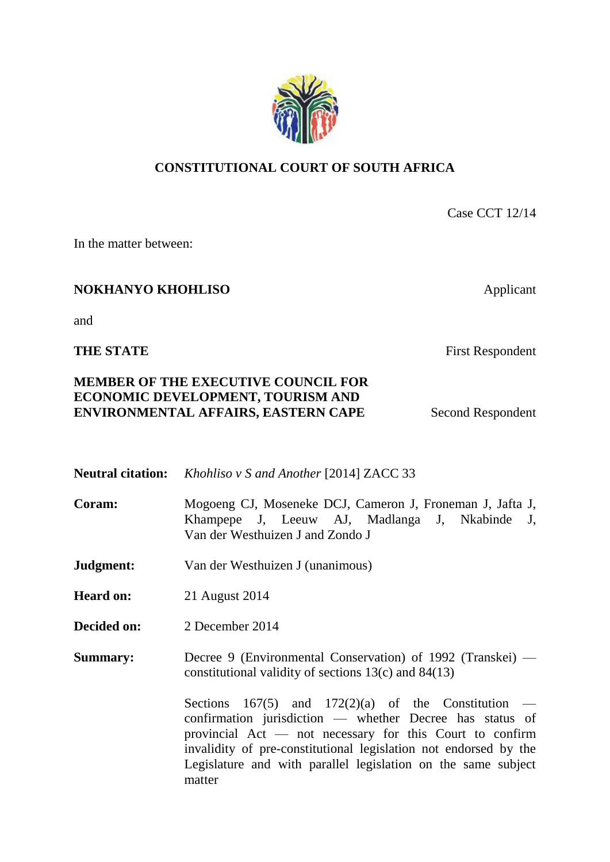## **CONSTITUTIONAL COURT OF SOUTH AFRICA**

Case CCT 12/14

In the matter between:

# **NOKHANYO KHOHLISO** Applicant

and

## **THE STATE** First Respondent

## **MEMBER OF THE EXECUTIVE COUNCIL FOR ECONOMIC DEVELOPMENT, TOURISM AND ENVIRONMENTAL AFFAIRS, EASTERN CAPE** Second Respondent

|                  | <b>Neutral citation:</b> <i>Khohliso v S and Another</i> [2014] ZACC 33                                                                                                                                                                                                                                                      |
|------------------|------------------------------------------------------------------------------------------------------------------------------------------------------------------------------------------------------------------------------------------------------------------------------------------------------------------------------|
| Coram:           | Mogoeng CJ, Moseneke DCJ, Cameron J, Froneman J, Jafta J,<br>Khampepe J, Leeuw AJ, Madlanga J, Nkabinde J,<br>Van der Westhuizen J and Zondo J                                                                                                                                                                               |
| Judgment:        | Van der Westhuizen J (unanimous)                                                                                                                                                                                                                                                                                             |
| <b>Heard on:</b> | 21 August 2014                                                                                                                                                                                                                                                                                                               |
| Decided on:      | 2 December 2014                                                                                                                                                                                                                                                                                                              |
| <b>Summary:</b>  | Decree 9 (Environmental Conservation) of 1992 (Transkei) —<br>constitutional validity of sections $13(c)$ and $84(13)$                                                                                                                                                                                                       |
|                  | Sections 167(5) and 172(2)(a) of the Constitution —<br>confirmation jurisdiction — whether Decree has status of<br>provincial $Act$ — not necessary for this Court to confirm<br>invalidity of pre-constitutional legislation not endorsed by the<br>Legislature and with parallel legislation on the same subject<br>matter |

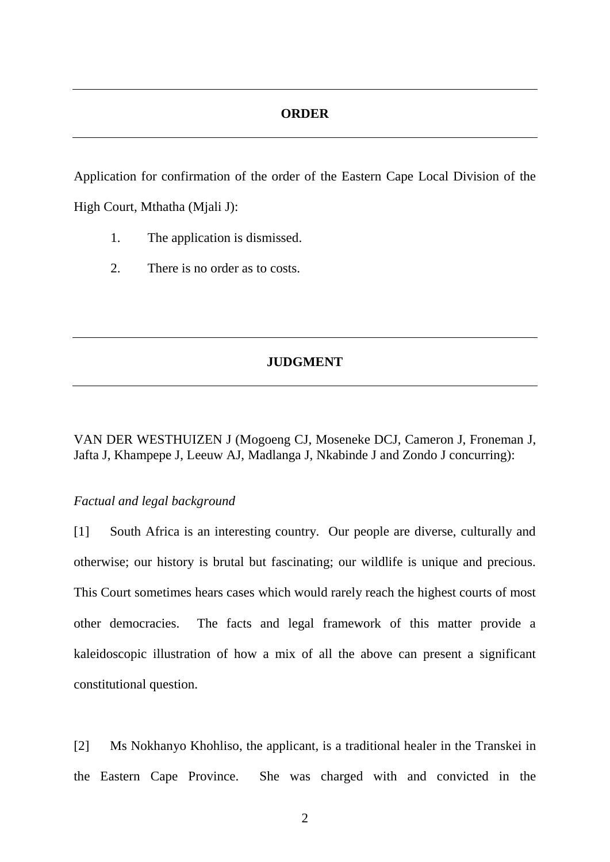## **ORDER**

Application for confirmation of the order of the Eastern Cape Local Division of the High Court, Mthatha (Mjali J):

- 1. The application is dismissed.
- 2. There is no order as to costs.

## **JUDGMENT**

VAN DER WESTHUIZEN J (Mogoeng CJ, Moseneke DCJ, Cameron J, Froneman J, Jafta J, Khampepe J, Leeuw AJ, Madlanga J, Nkabinde J and Zondo J concurring):

## *Factual and legal background*

[1] South Africa is an interesting country. Our people are diverse, culturally and otherwise; our history is brutal but fascinating; our wildlife is unique and precious. This Court sometimes hears cases which would rarely reach the highest courts of most other democracies. The facts and legal framework of this matter provide a kaleidoscopic illustration of how a mix of all the above can present a significant constitutional question.

[2] Ms Nokhanyo Khohliso, the applicant, is a traditional healer in the Transkei in the Eastern Cape Province. She was charged with and convicted in the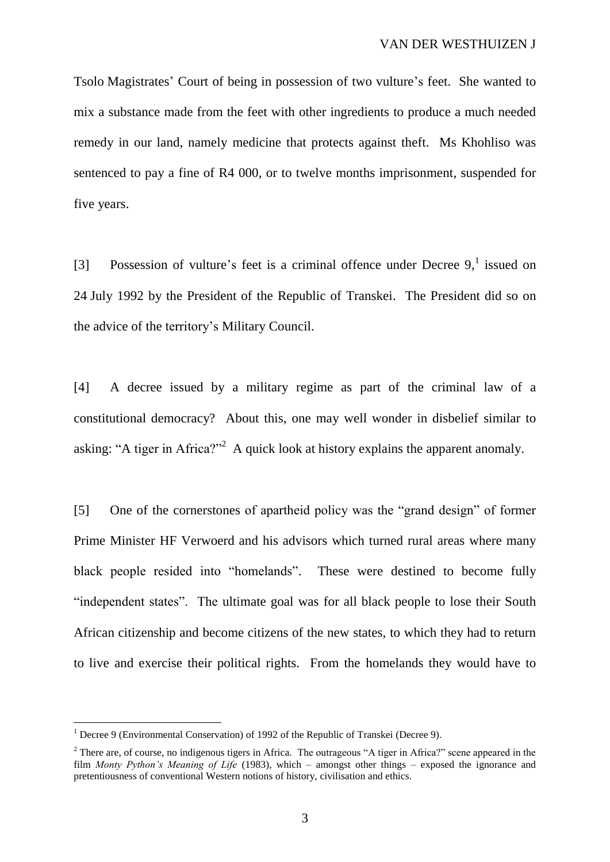Tsolo Magistrates' Court of being in possession of two vulture's feet. She wanted to mix a substance made from the feet with other ingredients to produce a much needed remedy in our land, namely medicine that protects against theft. Ms Khohliso was sentenced to pay a fine of R4 000, or to twelve months imprisonment, suspended for five years.

[3] Possession of vulture's feet is a criminal offence under Decree  $9$ , issued on 24 July 1992 by the President of the Republic of Transkei. The President did so on the advice of the territory's Military Council.

[4] A decree issued by a military regime as part of the criminal law of a constitutional democracy? About this, one may well wonder in disbelief similar to asking: "A tiger in Africa?"<sup>2</sup> A quick look at history explains the apparent anomaly.

[5] One of the cornerstones of apartheid policy was the "grand design" of former Prime Minister HF Verwoerd and his advisors which turned rural areas where many black people resided into "homelands". These were destined to become fully "independent states". The ultimate goal was for all black people to lose their South African citizenship and become citizens of the new states, to which they had to return to live and exercise their political rights. From the homelands they would have to

 $1$  Decree 9 (Environmental Conservation) of 1992 of the Republic of Transkei (Decree 9).

<sup>&</sup>lt;sup>2</sup> There are, of course, no indigenous tigers in Africa. The outrageous "A tiger in Africa?" scene appeared in the film *Monty Python's Meaning of Life* (1983), which – amongst other things – exposed the ignorance and pretentiousness of conventional Western notions of history, civilisation and ethics.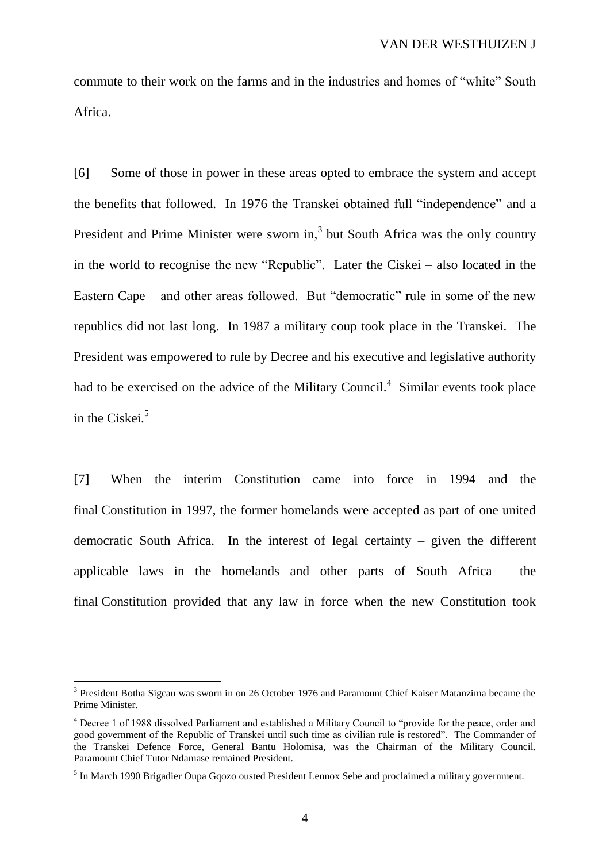commute to their work on the farms and in the industries and homes of "white" South Africa.

[6] Some of those in power in these areas opted to embrace the system and accept the benefits that followed. In 1976 the Transkei obtained full "independence" and a President and Prime Minister were sworn in, $3$  but South Africa was the only country in the world to recognise the new "Republic". Later the Ciskei – also located in the Eastern Cape – and other areas followed. But "democratic" rule in some of the new republics did not last long. In 1987 a military coup took place in the Transkei. The President was empowered to rule by Decree and his executive and legislative authority had to be exercised on the advice of the Military Council.<sup>4</sup> Similar events took place in the Ciskei.<sup>5</sup>

[7] When the interim Constitution came into force in 1994 and the final Constitution in 1997, the former homelands were accepted as part of one united democratic South Africa. In the interest of legal certainty – given the different applicable laws in the homelands and other parts of South Africa – the final Constitution provided that any law in force when the new Constitution took

<sup>&</sup>lt;sup>3</sup> President Botha Sigcau was sworn in on 26 October 1976 and Paramount Chief Kaiser Matanzima became the Prime Minister.

<sup>4</sup> Decree 1 of 1988 dissolved Parliament and established a Military Council to "provide for the peace, order and good government of the Republic of Transkei until such time as civilian rule is restored". The Commander of the Transkei Defence Force, General Bantu Holomisa, was the Chairman of the Military Council. Paramount Chief Tutor Ndamase remained President.

<sup>&</sup>lt;sup>5</sup> In March 1990 Brigadier Oupa Gqozo ousted President Lennox Sebe and proclaimed a military government.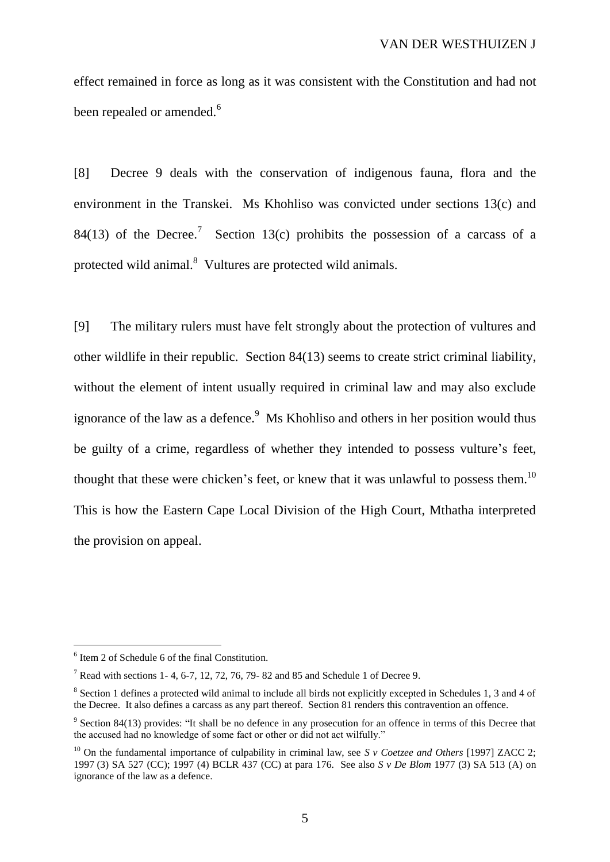effect remained in force as long as it was consistent with the Constitution and had not been repealed or amended.<sup>6</sup>

[8] Decree 9 deals with the conservation of indigenous fauna, flora and the environment in the Transkei. Ms Khohliso was convicted under sections 13(c) and 84(13) of the Decree.<sup>7</sup> Section 13(c) prohibits the possession of a carcass of a protected wild animal.<sup>8</sup> Vultures are protected wild animals.

[9] The military rulers must have felt strongly about the protection of vultures and other wildlife in their republic. Section 84(13) seems to create strict criminal liability, without the element of intent usually required in criminal law and may also exclude ignorance of the law as a defence.<sup>9</sup> Ms Khohliso and others in her position would thus be guilty of a crime, regardless of whether they intended to possess vulture's feet, thought that these were chicken's feet, or knew that it was unlawful to possess them.<sup>10</sup> This is how the Eastern Cape Local Division of the High Court, Mthatha interpreted the provision on appeal.

<sup>6</sup> Item 2 of Schedule 6 of the final Constitution.

<sup>&</sup>lt;sup>7</sup> Read with sections 1- 4, 6-7, 12, 72, 76, 79- 82 and 85 and Schedule 1 of Decree 9.

<sup>&</sup>lt;sup>8</sup> Section 1 defines a protected wild animal to include all birds not explicitly excepted in Schedules 1, 3 and 4 of the Decree. It also defines a carcass as any part thereof. Section 81 renders this contravention an offence.

 $9$  Section 84(13) provides: "It shall be no defence in any prosecution for an offence in terms of this Decree that the accused had no knowledge of some fact or other or did not act wilfully."

<sup>&</sup>lt;sup>10</sup> On the fundamental importance of culpability in criminal law, see *S v Coetzee and Others* [1997] ZACC 2; 1997 (3) SA 527 (CC); 1997 (4) BCLR 437 (CC) at para 176. See also *S v De Blom* 1977 (3) SA 513 (A) on ignorance of the law as a defence.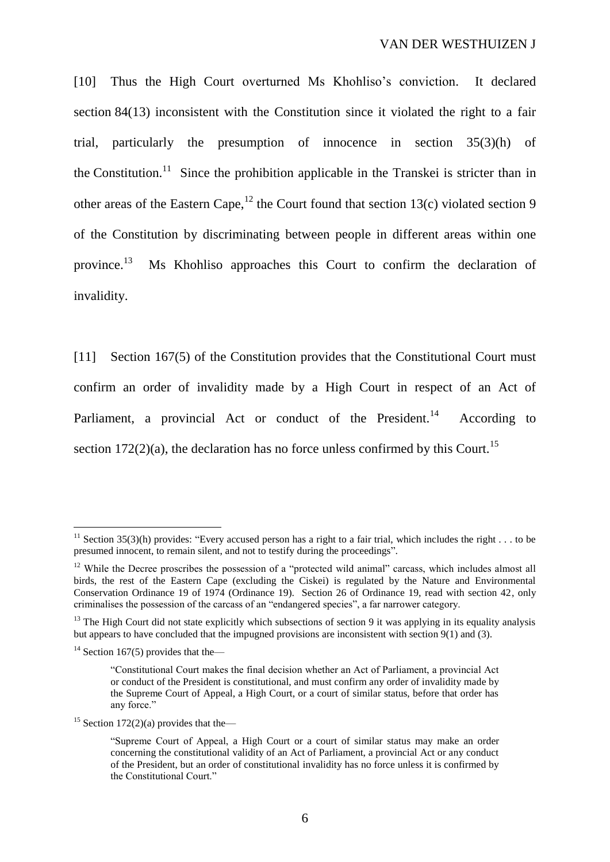[10] Thus the High Court overturned Ms Khohliso's conviction. It declared section 84(13) inconsistent with the Constitution since it violated the right to a fair trial, particularly the presumption of innocence in section 35(3)(h) of the Constitution.<sup>11</sup> Since the prohibition applicable in the Transkei is stricter than in other areas of the Eastern Cape,<sup>12</sup> the Court found that section 13(c) violated section 9 of the Constitution by discriminating between people in different areas within one province. 13 Ms Khohliso approaches this Court to confirm the declaration of invalidity.

[11] Section 167(5) of the Constitution provides that the Constitutional Court must confirm an order of invalidity made by a High Court in respect of an Act of Parliament, a provincial Act or conduct of the President.<sup>14</sup> According to section 172(2)(a), the declaration has no force unless confirmed by this Court.<sup>15</sup>

<sup>&</sup>lt;sup>11</sup> Section 35(3)(h) provides: "Every accused person has a right to a fair trial, which includes the right  $\dots$  to be presumed innocent, to remain silent, and not to testify during the proceedings".

<sup>&</sup>lt;sup>12</sup> While the Decree proscribes the possession of a "protected wild animal" carcass, which includes almost all birds, the rest of the Eastern Cape (excluding the Ciskei) is regulated by the Nature and Environmental Conservation Ordinance 19 of 1974 (Ordinance 19). Section 26 of Ordinance 19, read with section 42, only criminalises the possession of the carcass of an "endangered species", a far narrower category.

 $13$  The High Court did not state explicitly which subsections of section 9 it was applying in its equality analysis but appears to have concluded that the impugned provisions are inconsistent with section 9(1) and (3).

<sup>&</sup>lt;sup>14</sup> Section 167(5) provides that the—

<sup>&</sup>quot;Constitutional Court makes the final decision whether an Act of Parliament, a provincial Act or conduct of the President is constitutional, and must confirm any order of invalidity made by the Supreme Court of Appeal, a High Court, or a court of similar status, before that order has any force."

<sup>&</sup>lt;sup>15</sup> Section 172(2)(a) provides that the—

<sup>&</sup>quot;Supreme Court of Appeal, a High Court or a court of similar status may make an order concerning the constitutional validity of an Act of Parliament, a provincial Act or any conduct of the President, but an order of constitutional invalidity has no force unless it is confirmed by the Constitutional Court."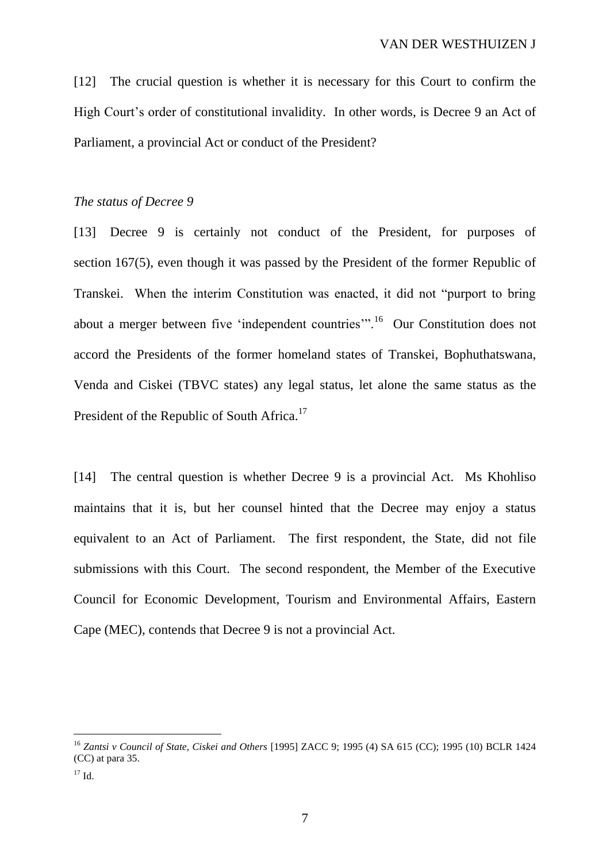[12] The crucial question is whether it is necessary for this Court to confirm the High Court's order of constitutional invalidity. In other words, is Decree 9 an Act of Parliament, a provincial Act or conduct of the President?

## *The status of Decree 9*

[13] Decree 9 is certainly not conduct of the President, for purposes of section 167(5), even though it was passed by the President of the former Republic of Transkei. When the interim Constitution was enacted, it did not "purport to bring about a merger between five 'independent countries'".<sup>16</sup> Our Constitution does not accord the Presidents of the former homeland states of Transkei, Bophuthatswana, Venda and Ciskei (TBVC states) any legal status, let alone the same status as the President of the Republic of South Africa.<sup>17</sup>

[14] The central question is whether Decree 9 is a provincial Act. Ms Khohliso maintains that it is, but her counsel hinted that the Decree may enjoy a status equivalent to an Act of Parliament. The first respondent, the State, did not file submissions with this Court. The second respondent, the Member of the Executive Council for Economic Development, Tourism and Environmental Affairs, Eastern Cape (MEC), contends that Decree 9 is not a provincial Act.

<sup>16</sup> *Zantsi v Council of State, Ciskei and Others* [1995] ZACC 9; 1995 (4) SA 615 (CC); 1995 (10) BCLR 1424 (CC) at para 35.

<sup>17</sup> Id.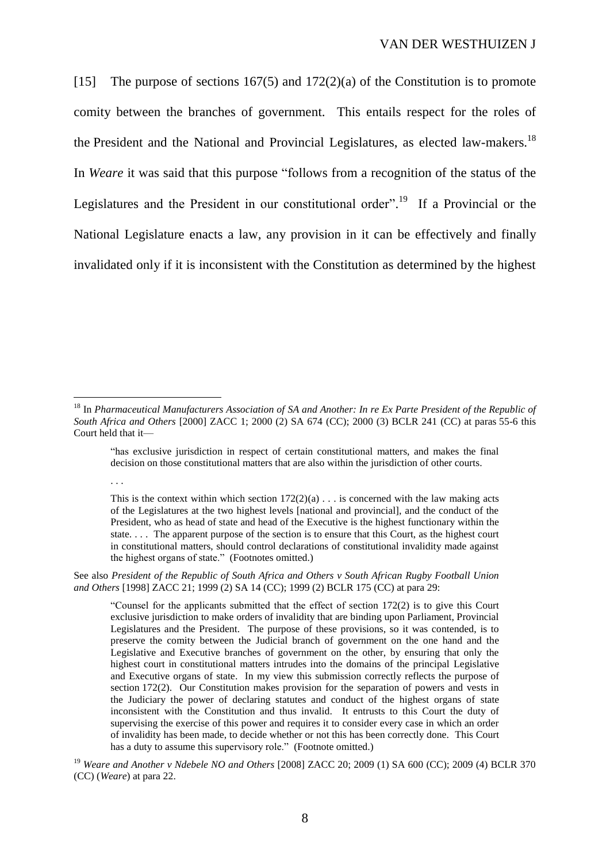[15] The purpose of sections 167(5) and 172(2)(a) of the Constitution is to promote comity between the branches of government. This entails respect for the roles of the President and the National and Provincial Legislatures, as elected law-makers.<sup>18</sup> In *Weare* it was said that this purpose "follows from a recognition of the status of the Legislatures and the President in our constitutional order".<sup>19</sup> If a Provincial or the National Legislature enacts a law, any provision in it can be effectively and finally invalidated only if it is inconsistent with the Constitution as determined by the highest

 $\overline{a}$ 

. . .

See also *President of the Republic of South Africa and Others v South African Rugby Football Union and Others* [1998] ZACC 21; 1999 (2) SA 14 (CC); 1999 (2) BCLR 175 (CC) at para 29:

<sup>18</sup> In *Pharmaceutical Manufacturers Association of SA and Another: In re Ex Parte President of the Republic of South Africa and Others* [2000] ZACC 1; 2000 (2) SA 674 (CC); 2000 (3) BCLR 241 (CC) at paras 55-6 this Court held that it—

<sup>&</sup>quot;has exclusive jurisdiction in respect of certain constitutional matters, and makes the final decision on those constitutional matters that are also within the jurisdiction of other courts.

This is the context within which section  $172(2)(a) \ldots$  is concerned with the law making acts of the Legislatures at the two highest levels [national and provincial], and the conduct of the President, who as head of state and head of the Executive is the highest functionary within the state. . . . The apparent purpose of the section is to ensure that this Court, as the highest court in constitutional matters, should control declarations of constitutional invalidity made against the highest organs of state." (Footnotes omitted.)

<sup>&</sup>quot;Counsel for the applicants submitted that the effect of section 172(2) is to give this Court exclusive jurisdiction to make orders of invalidity that are binding upon Parliament, Provincial Legislatures and the President. The purpose of these provisions, so it was contended, is to preserve the comity between the Judicial branch of government on the one hand and the Legislative and Executive branches of government on the other, by ensuring that only the highest court in constitutional matters intrudes into the domains of the principal Legislative and Executive organs of state. In my view this submission correctly reflects the purpose of section 172(2). Our Constitution makes provision for the separation of powers and vests in the Judiciary the power of declaring statutes and conduct of the highest organs of state inconsistent with the Constitution and thus invalid. It entrusts to this Court the duty of supervising the exercise of this power and requires it to consider every case in which an order of invalidity has been made, to decide whether or not this has been correctly done. This Court has a duty to assume this supervisory role." (Footnote omitted.)

<sup>19</sup> *Weare and Another v Ndebele NO and Others* [2008] ZACC 20; 2009 (1) SA 600 (CC); 2009 (4) BCLR 370 (CC) (*Weare*) at para 22.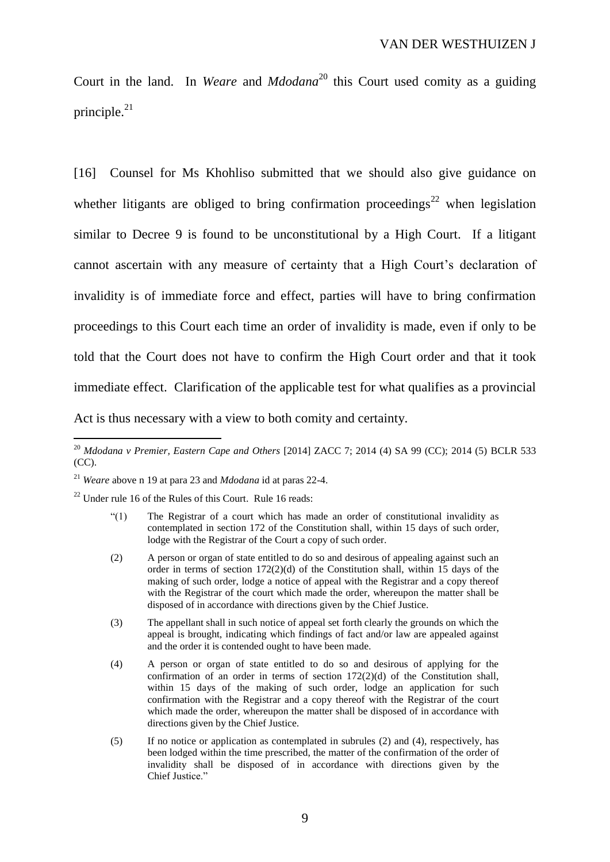Court in the land. In *Weare* and *Mdodana*<sup>20</sup> this Court used comity as a guiding principle. $^{21}$ 

[16] Counsel for Ms Khohliso submitted that we should also give guidance on whether litigants are obliged to bring confirmation proceedings<sup>22</sup> when legislation similar to Decree 9 is found to be unconstitutional by a High Court. If a litigant cannot ascertain with any measure of certainty that a High Court's declaration of invalidity is of immediate force and effect, parties will have to bring confirmation proceedings to this Court each time an order of invalidity is made, even if only to be told that the Court does not have to confirm the High Court order and that it took immediate effect. Clarification of the applicable test for what qualifies as a provincial Act is thus necessary with a view to both comity and certainty.

<sup>22</sup> Under rule 16 of the Rules of this Court. Rule 16 reads:

- "(1) The Registrar of a court which has made an order of constitutional invalidity as contemplated in section 172 of the Constitution shall, within 15 days of such order, lodge with the Registrar of the Court a copy of such order.
- (2) A person or organ of state entitled to do so and desirous of appealing against such an order in terms of section 172(2)(d) of the Constitution shall, within 15 days of the making of such order, lodge a notice of appeal with the Registrar and a copy thereof with the Registrar of the court which made the order, whereupon the matter shall be disposed of in accordance with directions given by the Chief Justice.
- (3) The appellant shall in such notice of appeal set forth clearly the grounds on which the appeal is brought, indicating which findings of fact and/or law are appealed against and the order it is contended ought to have been made.
- (4) A person or organ of state entitled to do so and desirous of applying for the confirmation of an order in terms of section 172(2)(d) of the Constitution shall, within 15 days of the making of such order, lodge an application for such confirmation with the Registrar and a copy thereof with the Registrar of the court which made the order, whereupon the matter shall be disposed of in accordance with directions given by the Chief Justice.
- (5) If no notice or application as contemplated in subrules (2) and (4), respectively, has been lodged within the time prescribed, the matter of the confirmation of the order of invalidity shall be disposed of in accordance with directions given by the Chief Justice."

<sup>20</sup> *Mdodana v Premier, Eastern Cape and Others* [2014] ZACC 7; 2014 (4) SA 99 (CC); 2014 (5) BCLR 533 (CC).

<sup>21</sup> *Weare* above n 19 at para 23 and *Mdodana* id at paras 22-4.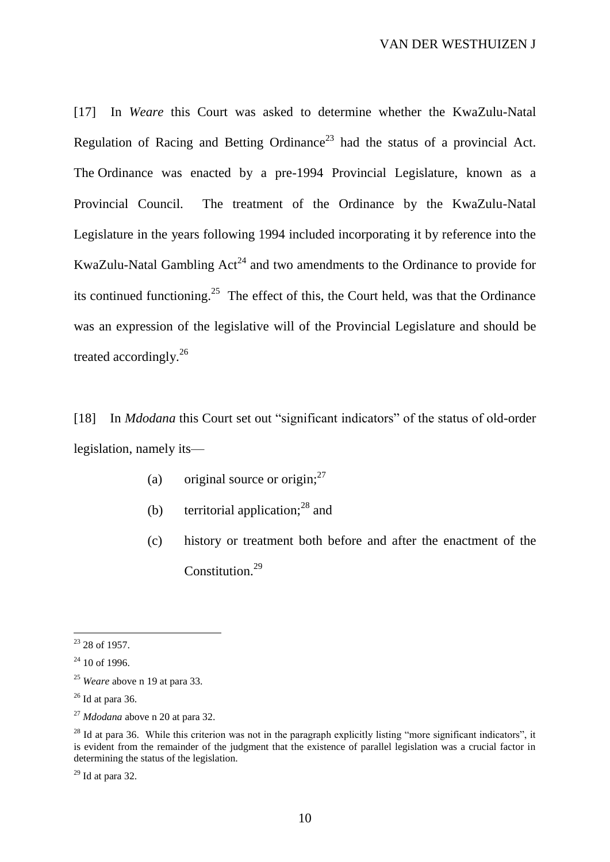[17] In *Weare* this Court was asked to determine whether the KwaZulu-Natal Regulation of Racing and Betting Ordinance<sup>23</sup> had the status of a provincial Act. The Ordinance was enacted by a pre-1994 Provincial Legislature, known as a Provincial Council. The treatment of the Ordinance by the KwaZulu-Natal Legislature in the years following 1994 included incorporating it by reference into the KwaZulu-Natal Gambling  $Act^{24}$  and two amendments to the Ordinance to provide for its continued functioning.<sup>25</sup> The effect of this, the Court held, was that the Ordinance was an expression of the legislative will of the Provincial Legislature and should be treated accordingly.<sup>26</sup>

[18] In *Mdodana* this Court set out "significant indicators" of the status of old-order legislation, namely its—

- (a) original source or origin: $27$
- (b) territorial application; $^{28}$  and
- (c) history or treatment both before and after the enactment of the Constitution.<sup>29</sup>

 $29$  Id at para 32.

 $\overline{a}$  $23$  28 of 1957.

 $24$  10 of 1996.

<sup>25</sup> *Weare* above n 19 at para 33.

 $26$  Id at para 36.

<sup>27</sup> *Mdodana* above n 20 at para 32.

 $^{28}$  Id at para 36. While this criterion was not in the paragraph explicitly listing "more significant indicators", it is evident from the remainder of the judgment that the existence of parallel legislation was a crucial factor in determining the status of the legislation.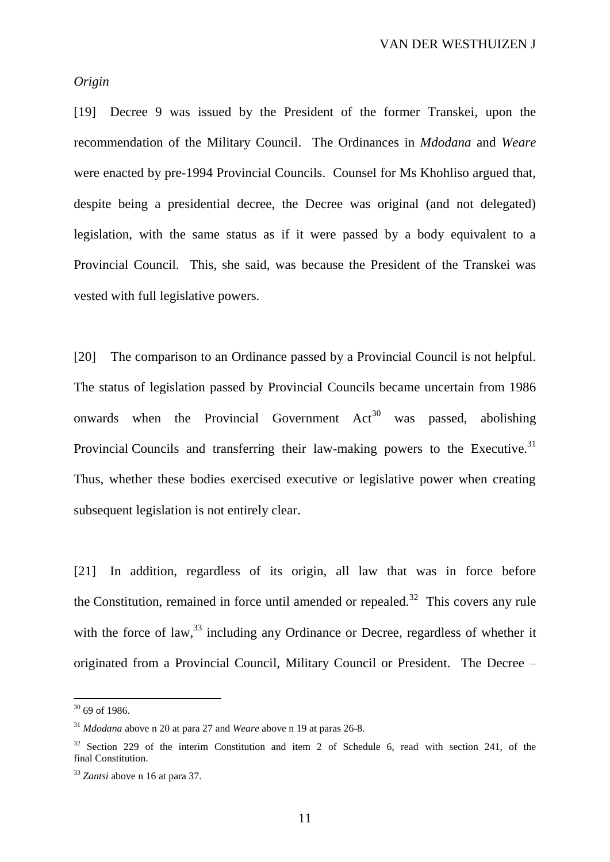#### *Origin*

[19] Decree 9 was issued by the President of the former Transkei, upon the recommendation of the Military Council. The Ordinances in *Mdodana* and *Weare* were enacted by pre-1994 Provincial Councils. Counsel for Ms Khohliso argued that, despite being a presidential decree, the Decree was original (and not delegated) legislation, with the same status as if it were passed by a body equivalent to a Provincial Council. This, she said, was because the President of the Transkei was vested with full legislative powers.

[20] The comparison to an Ordinance passed by a Provincial Council is not helpful. The status of legislation passed by Provincial Councils became uncertain from 1986 onwards when the Provincial Government  $Act^{30}$  was passed, abolishing Provincial Councils and transferring their law-making powers to the Executive.<sup>31</sup> Thus, whether these bodies exercised executive or legislative power when creating subsequent legislation is not entirely clear.

[21] In addition, regardless of its origin, all law that was in force before the Constitution, remained in force until amended or repealed.<sup>32</sup> This covers any rule with the force of law,<sup>33</sup> including any Ordinance or Decree, regardless of whether it originated from a Provincial Council, Military Council or President. The Decree –

 $30\,69$  of 1986.

<sup>31</sup> *Mdodana* above n 20 at para 27 and *Weare* above n 19 at paras 26-8.

 $32$  Section 229 of the interim Constitution and item 2 of Schedule 6, read with section 241, of the final Constitution.

<sup>33</sup> *Zantsi* above n 16 at para 37.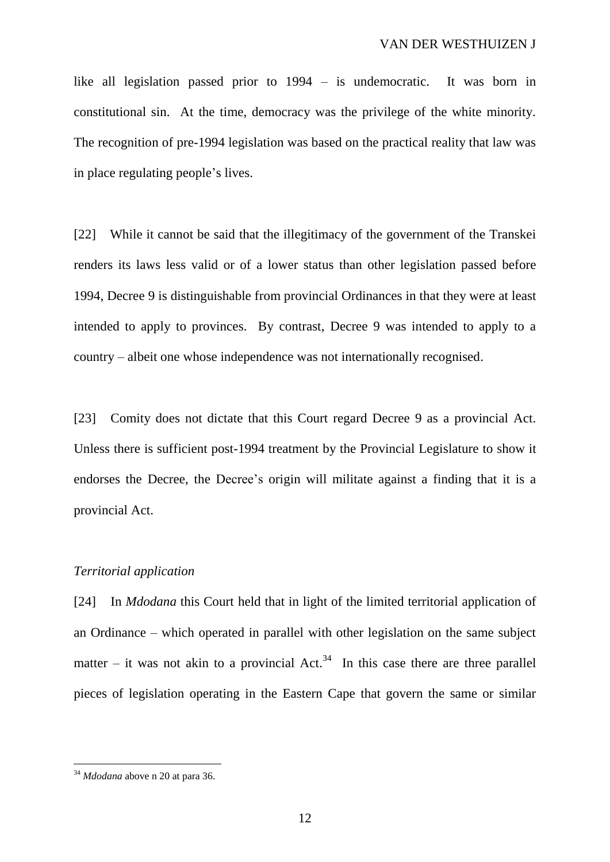like all legislation passed prior to 1994 – is undemocratic. It was born in constitutional sin. At the time, democracy was the privilege of the white minority. The recognition of pre-1994 legislation was based on the practical reality that law was in place regulating people's lives.

[22] While it cannot be said that the illegitimacy of the government of the Transkei renders its laws less valid or of a lower status than other legislation passed before 1994, Decree 9 is distinguishable from provincial Ordinances in that they were at least intended to apply to provinces. By contrast, Decree 9 was intended to apply to a country – albeit one whose independence was not internationally recognised.

[23] Comity does not dictate that this Court regard Decree 9 as a provincial Act. Unless there is sufficient post-1994 treatment by the Provincial Legislature to show it endorses the Decree, the Decree's origin will militate against a finding that it is a provincial Act.

## *Territorial application*

[24] In *Mdodana* this Court held that in light of the limited territorial application of an Ordinance – which operated in parallel with other legislation on the same subject matter – it was not akin to a provincial  $Act.^{34}$  In this case there are three parallel pieces of legislation operating in the Eastern Cape that govern the same or similar

<sup>34</sup> *Mdodana* above n 20 at para 36.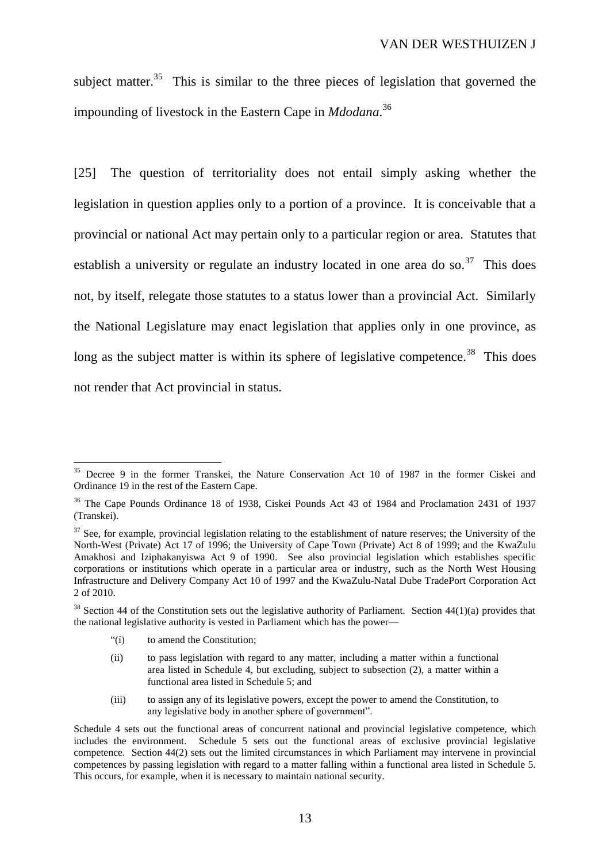subject matter.<sup>35</sup> This is similar to the three pieces of legislation that governed the impounding of livestock in the Eastern Cape in *Mdodana*. 36

[25] The question of territoriality does not entail simply asking whether the legislation in question applies only to a portion of a province. It is conceivable that a provincial or national Act may pertain only to a particular region or area. Statutes that establish a university or regulate an industry located in one area do so.<sup>37</sup> This does not, by itself, relegate those statutes to a status lower than a provincial Act. Similarly the National Legislature may enact legislation that applies only in one province, as long as the subject matter is within its sphere of legislative competence.<sup>38</sup> This does not render that Act provincial in status.

"(i) to amend the Constitution;

- (ii) to pass legislation with regard to any matter, including a matter within a functional area listed in Schedule 4, but excluding, subject to subsection (2), a matter within a functional area listed in Schedule 5; and
- (iii) to assign any of its legislative powers, except the power to amend the Constitution, to any legislative body in another sphere of government".

<sup>&</sup>lt;sup>35</sup> Decree 9 in the former Transkei, the Nature Conservation Act 10 of 1987 in the former Ciskei and Ordinance 19 in the rest of the Eastern Cape.

<sup>&</sup>lt;sup>36</sup> The Cape Pounds Ordinance 18 of 1938, Ciskei Pounds Act 43 of 1984 and Proclamation 2431 of 1937 (Transkei).

 $37$  See, for example, provincial legislation relating to the establishment of nature reserves; the University of the North-West (Private) Act 17 of 1996; the University of Cape Town (Private) Act 8 of 1999; and the KwaZulu Amakhosi and Iziphakanyiswa Act 9 of 1990. See also provincial legislation which establishes specific corporations or institutions which operate in a particular area or industry, such as the North West Housing Infrastructure and Delivery Company Act 10 of 1997 and the KwaZulu-Natal Dube TradePort Corporation Act 2 of 2010.

 $38$  Section 44 of the Constitution sets out the legislative authority of Parliament. Section 44(1)(a) provides that the national legislative authority is vested in Parliament which has the power—

Schedule 4 sets out the functional areas of concurrent national and provincial legislative competence, which includes the environment. Schedule 5 sets out the functional areas of exclusive provincial legislative competence. Section 44(2) sets out the limited circumstances in which Parliament may intervene in provincial competences by passing legislation with regard to a matter falling within a functional area listed in Schedule 5. This occurs, for example, when it is necessary to maintain national security.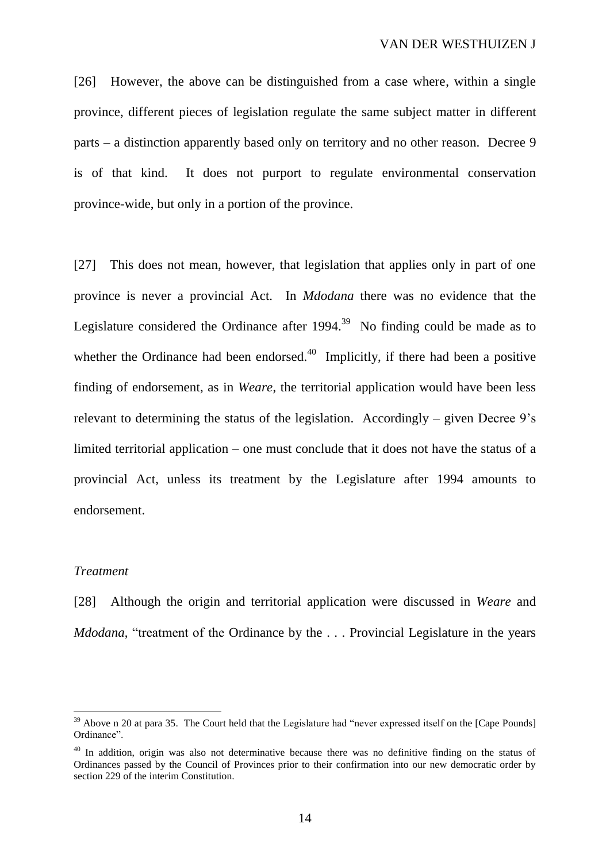[26] However, the above can be distinguished from a case where, within a single province, different pieces of legislation regulate the same subject matter in different parts – a distinction apparently based only on territory and no other reason. Decree 9 is of that kind. It does not purport to regulate environmental conservation province-wide, but only in a portion of the province.

[27] This does not mean, however, that legislation that applies only in part of one province is never a provincial Act. In *Mdodana* there was no evidence that the Legislature considered the Ordinance after  $1994$ <sup>39</sup> No finding could be made as to whether the Ordinance had been endorsed. $40$  Implicitly, if there had been a positive finding of endorsement, as in *Weare*, the territorial application would have been less relevant to determining the status of the legislation. Accordingly – given Decree 9's limited territorial application – one must conclude that it does not have the status of a provincial Act, unless its treatment by the Legislature after 1994 amounts to endorsement.

## *Treatment*

 $\overline{a}$ 

[28] Although the origin and territorial application were discussed in *Weare* and *Mdodana*, "treatment of the Ordinance by the . . . Provincial Legislature in the years

<sup>&</sup>lt;sup>39</sup> Above n 20 at para 35. The Court held that the Legislature had "never expressed itself on the [Cape Pounds] Ordinance".

<sup>&</sup>lt;sup>40</sup> In addition, origin was also not determinative because there was no definitive finding on the status of Ordinances passed by the Council of Provinces prior to their confirmation into our new democratic order by section 229 of the interim Constitution.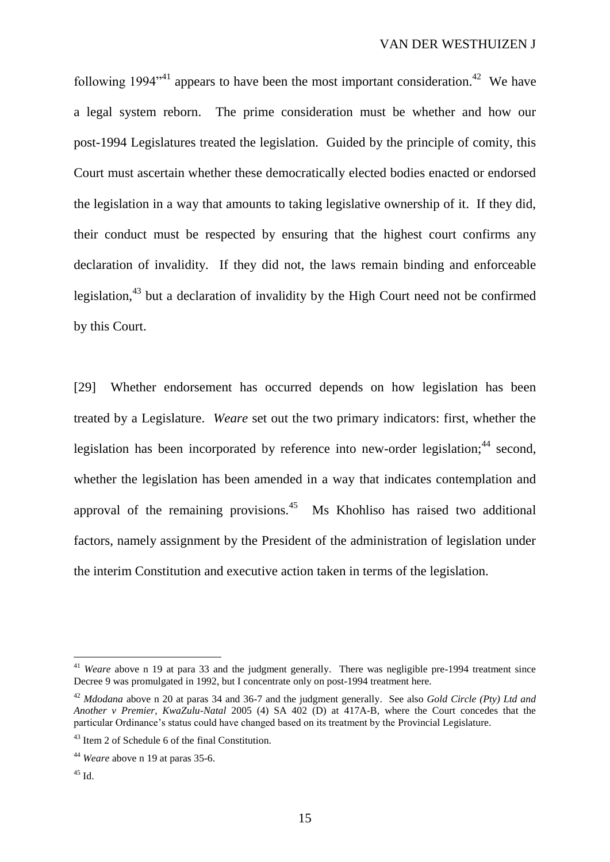following 1994<sup> $n+1$ </sup> appears to have been the most important consideration.<sup>42</sup> We have a legal system reborn. The prime consideration must be whether and how our post-1994 Legislatures treated the legislation. Guided by the principle of comity, this Court must ascertain whether these democratically elected bodies enacted or endorsed the legislation in a way that amounts to taking legislative ownership of it. If they did, their conduct must be respected by ensuring that the highest court confirms any declaration of invalidity. If they did not, the laws remain binding and enforceable legislation,<sup>43</sup> but a declaration of invalidity by the High Court need not be confirmed by this Court.

[29] Whether endorsement has occurred depends on how legislation has been treated by a Legislature. *Weare* set out the two primary indicators: first, whether the legislation has been incorporated by reference into new-order legislation; $44$  second, whether the legislation has been amended in a way that indicates contemplation and approval of the remaining provisions. $45$  Ms Khohliso has raised two additional factors, namely assignment by the President of the administration of legislation under the interim Constitution and executive action taken in terms of the legislation.

<sup>&</sup>lt;sup>41</sup> *Weare* above n 19 at para 33 and the judgment generally. There was negligible pre-1994 treatment since Decree 9 was promulgated in 1992, but I concentrate only on post-1994 treatment here.

<sup>42</sup> *Mdodana* above n 20 at paras 34 and 36-7 and the judgment generally. See also *Gold Circle (Pty) Ltd and Another v Premier, KwaZulu-Natal* 2005 (4) SA 402 (D) at 417A-B, where the Court concedes that the particular Ordinance's status could have changed based on its treatment by the Provincial Legislature.

<sup>43</sup> Item 2 of Schedule 6 of the final Constitution.

<sup>44</sup> *Weare* above n 19 at paras 35-6.

 $45$  Id.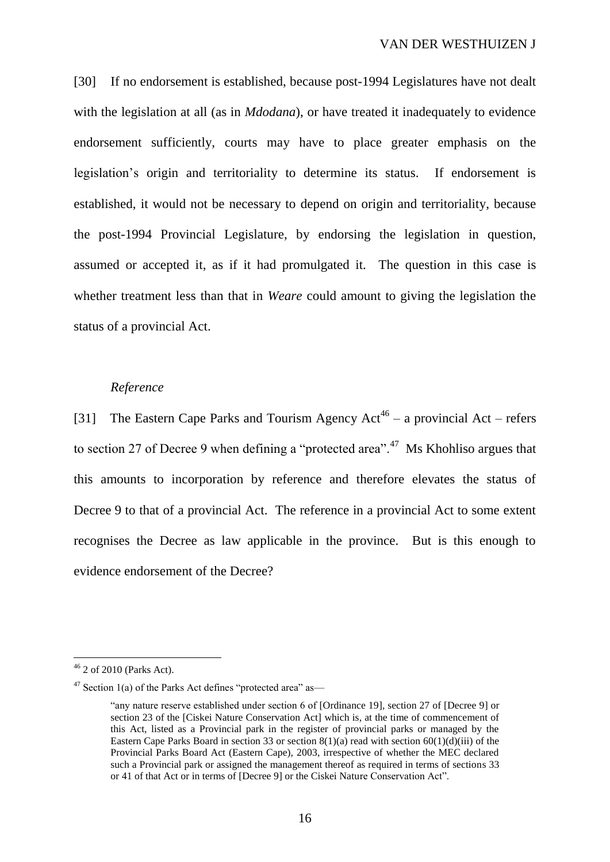[30] If no endorsement is established, because post-1994 Legislatures have not dealt with the legislation at all (as in *Mdodana*), or have treated it inadequately to evidence endorsement sufficiently, courts may have to place greater emphasis on the legislation's origin and territoriality to determine its status. If endorsement is established, it would not be necessary to depend on origin and territoriality, because the post-1994 Provincial Legislature, by endorsing the legislation in question, assumed or accepted it, as if it had promulgated it. The question in this case is whether treatment less than that in *Weare* could amount to giving the legislation the status of a provincial Act.

#### *Reference*

[31] The Eastern Cape Parks and Tourism Agency  $Act^{46} - a$  provincial Act – refers to section 27 of Decree 9 when defining a "protected area".<sup>47</sup> Ms Khohliso argues that this amounts to incorporation by reference and therefore elevates the status of Decree 9 to that of a provincial Act. The reference in a provincial Act to some extent recognises the Decree as law applicable in the province. But is this enough to evidence endorsement of the Decree?

 $46$  2 of 2010 (Parks Act).

 $47$  Section 1(a) of the Parks Act defines "protected area" as—

<sup>&</sup>quot;any nature reserve established under section 6 of [Ordinance 19], section 27 of [Decree 9] or section 23 of the [Ciskei Nature Conservation Act] which is, at the time of commencement of this Act, listed as a Provincial park in the register of provincial parks or managed by the Eastern Cape Parks Board in section 33 or section  $8(1)(a)$  read with section  $60(1)(d)(iii)$  of the Provincial Parks Board Act (Eastern Cape), 2003, irrespective of whether the MEC declared such a Provincial park or assigned the management thereof as required in terms of sections 33 or 41 of that Act or in terms of [Decree 9] or the Ciskei Nature Conservation Act".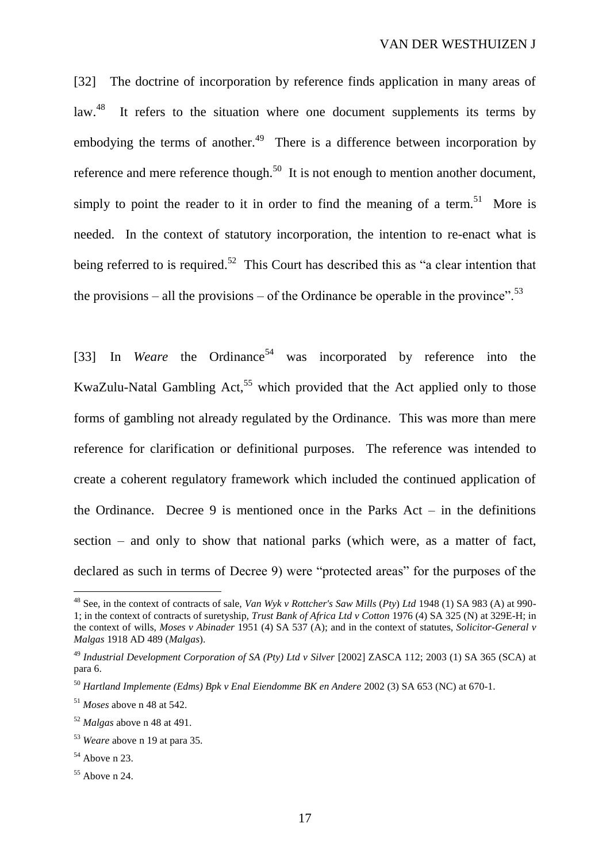[32] The doctrine of incorporation by reference finds application in many areas of  $\frac{1}{2}$ law.<sup>48</sup> It refers to the situation where one document supplements its terms by embodying the terms of another. $49$  There is a difference between incorporation by reference and mere reference though.<sup>50</sup> It is not enough to mention another document, simply to point the reader to it in order to find the meaning of a term.<sup>51</sup> More is needed. In the context of statutory incorporation, the intention to re-enact what is being referred to is required.<sup>52</sup> This Court has described this as "a clear intention that the provisions – all the provisions – of the Ordinance be operable in the province".<sup>53</sup>

[33] In *Weare* the Ordinance<sup>54</sup> was incorporated by reference into the KwaZulu-Natal Gambling Act,<sup>55</sup> which provided that the Act applied only to those forms of gambling not already regulated by the Ordinance. This was more than mere reference for clarification or definitional purposes. The reference was intended to create a coherent regulatory framework which included the continued application of the Ordinance. Decree 9 is mentioned once in the Parks Act  $-$  in the definitions section – and only to show that national parks (which were, as a matter of fact, declared as such in terms of Decree 9) were "protected areas" for the purposes of the

<sup>48</sup> See, in the context of contracts of sale, *Van Wyk v Rottcher's Saw Mills* (*Pty*) *Ltd* 1948 (1) SA 983 (A) at 990- 1; in the context of contracts of suretyship, *Trust Bank of Africa Ltd v Cotton* 1976 (4) SA 325 (N) at 329E-H; in the context of wills, *Moses v Abinader* 1951 (4) SA 537 (A); and in the context of statutes, *Solicitor-General v Malgas* 1918 AD 489 (*Malgas*).

<sup>49</sup> *Industrial Development Corporation of SA (Pty) Ltd v Silver* [2002] ZASCA 112; 2003 (1) SA 365 (SCA) at para 6.

<sup>50</sup> *Hartland Implemente (Edms) Bpk v Enal Eiendomme BK en Andere* 2002 (3) SA 653 (NC) at 670-1.

<sup>51</sup> *Moses* above n 48 at 542.

<sup>52</sup> *Malgas* above n 48 at 491.

<sup>53</sup> *Weare* above n 19 at para 35.

 $54$  Above n 23.

 $55$  Above n 24.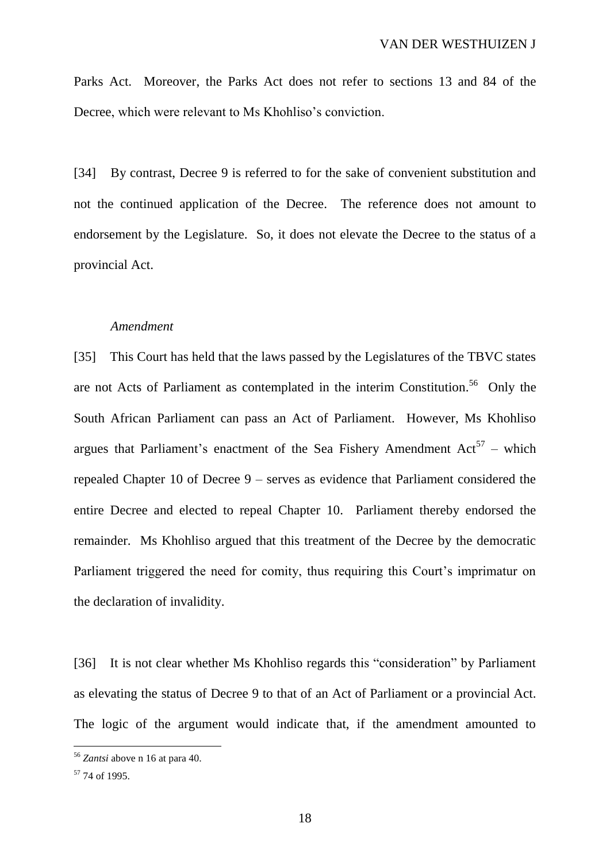Parks Act. Moreover, the Parks Act does not refer to sections 13 and 84 of the Decree, which were relevant to Ms Khohliso's conviction.

[34] By contrast, Decree 9 is referred to for the sake of convenient substitution and not the continued application of the Decree. The reference does not amount to endorsement by the Legislature. So, it does not elevate the Decree to the status of a provincial Act.

## *Amendment*

[35] This Court has held that the laws passed by the Legislatures of the TBVC states are not Acts of Parliament as contemplated in the interim Constitution. <sup>56</sup> Only the South African Parliament can pass an Act of Parliament. However, Ms Khohliso argues that Parliament's enactment of the Sea Fishery Amendment  $Act^{57}$  – which repealed Chapter 10 of Decree 9 – serves as evidence that Parliament considered the entire Decree and elected to repeal Chapter 10. Parliament thereby endorsed the remainder. Ms Khohliso argued that this treatment of the Decree by the democratic Parliament triggered the need for comity, thus requiring this Court's imprimatur on the declaration of invalidity.

[36] It is not clear whether Ms Khohliso regards this "consideration" by Parliament as elevating the status of Decree 9 to that of an Act of Parliament or a provincial Act. The logic of the argument would indicate that, if the amendment amounted to

<sup>56</sup> *Zantsi* above n 16 at para 40.

<sup>57</sup> 74 of 1995.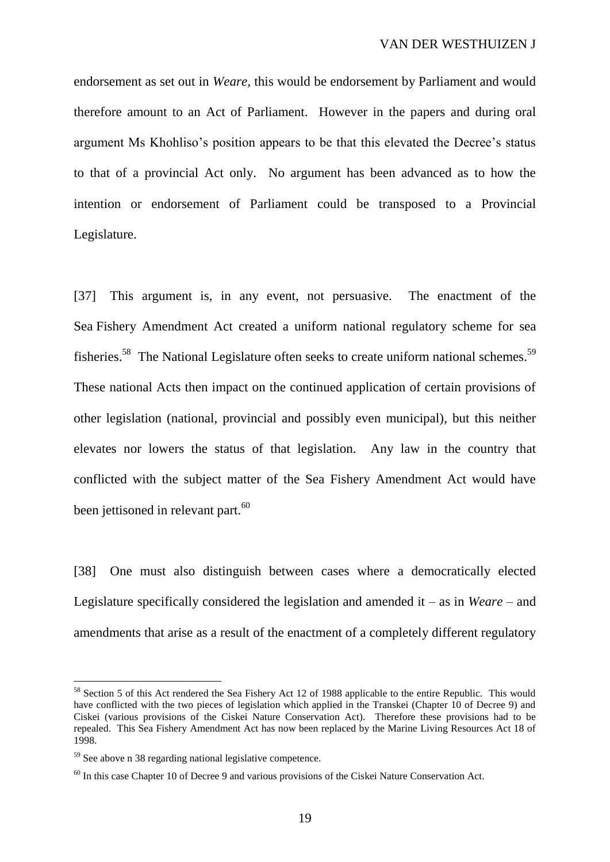endorsement as set out in *Weare,* this would be endorsement by Parliament and would therefore amount to an Act of Parliament. However in the papers and during oral argument Ms Khohliso's position appears to be that this elevated the Decree's status to that of a provincial Act only. No argument has been advanced as to how the intention or endorsement of Parliament could be transposed to a Provincial Legislature.

[37] This argument is, in any event, not persuasive. The enactment of the Sea Fishery Amendment Act created a uniform national regulatory scheme for sea fisheries.<sup>58</sup> The National Legislature often seeks to create uniform national schemes.<sup>59</sup> These national Acts then impact on the continued application of certain provisions of other legislation (national, provincial and possibly even municipal), but this neither elevates nor lowers the status of that legislation. Any law in the country that conflicted with the subject matter of the Sea Fishery Amendment Act would have been jettisoned in relevant part.<sup>60</sup>

[38] One must also distinguish between cases where a democratically elected Legislature specifically considered the legislation and amended it – as in *Weare* – and amendments that arise as a result of the enactment of a completely different regulatory

<sup>&</sup>lt;sup>58</sup> Section 5 of this Act rendered the Sea Fishery Act 12 of 1988 applicable to the entire Republic. This would have conflicted with the two pieces of legislation which applied in the Transkei (Chapter 10 of Decree 9) and Ciskei (various provisions of the Ciskei Nature Conservation Act). Therefore these provisions had to be repealed. This Sea Fishery Amendment Act has now been replaced by the Marine Living Resources Act 18 of 1998.

<sup>&</sup>lt;sup>59</sup> See above n 38 regarding national legislative competence.

 $^{60}$  In this case Chapter 10 of Decree 9 and various provisions of the Ciskei Nature Conservation Act.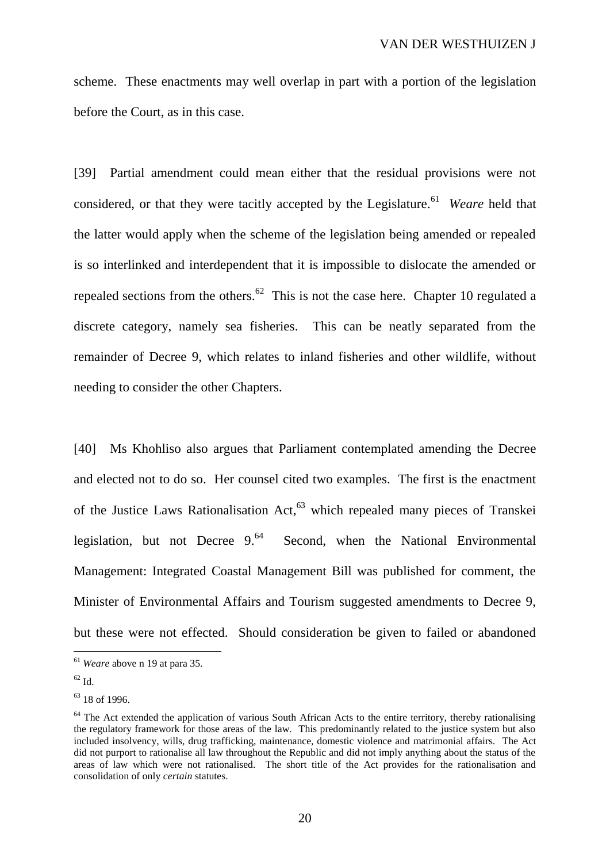scheme. These enactments may well overlap in part with a portion of the legislation before the Court, as in this case.

[39] Partial amendment could mean either that the residual provisions were not considered, or that they were tacitly accepted by the Legislature. 61 *Weare* held that the latter would apply when the scheme of the legislation being amended or repealed is so interlinked and interdependent that it is impossible to dislocate the amended or repealed sections from the others.<sup>62</sup> This is not the case here. Chapter 10 regulated a discrete category, namely sea fisheries. This can be neatly separated from the remainder of Decree 9, which relates to inland fisheries and other wildlife, without needing to consider the other Chapters.

[40] Ms Khohliso also argues that Parliament contemplated amending the Decree and elected not to do so. Her counsel cited two examples. The first is the enactment of the Justice Laws Rationalisation Act,<sup>63</sup> which repealed many pieces of Transkei legislation, but not Decree  $9<sup>64</sup>$  Second, when the National Environmental Management: Integrated Coastal Management Bill was published for comment, the Minister of Environmental Affairs and Tourism suggested amendments to Decree 9, but these were not effected. Should consideration be given to failed or abandoned

<sup>61</sup> *Weare* above n 19 at para 35.

<sup>62</sup> Id.

 $63$  18 of 1996.

 $64$  The Act extended the application of various South African Acts to the entire territory, thereby rationalising the regulatory framework for those areas of the law. This predominantly related to the justice system but also included insolvency, wills, drug trafficking, maintenance, domestic violence and matrimonial affairs. The Act did not purport to rationalise all law throughout the Republic and did not imply anything about the status of the areas of law which were not rationalised. The short title of the Act provides for the rationalisation and consolidation of only *certain* statutes.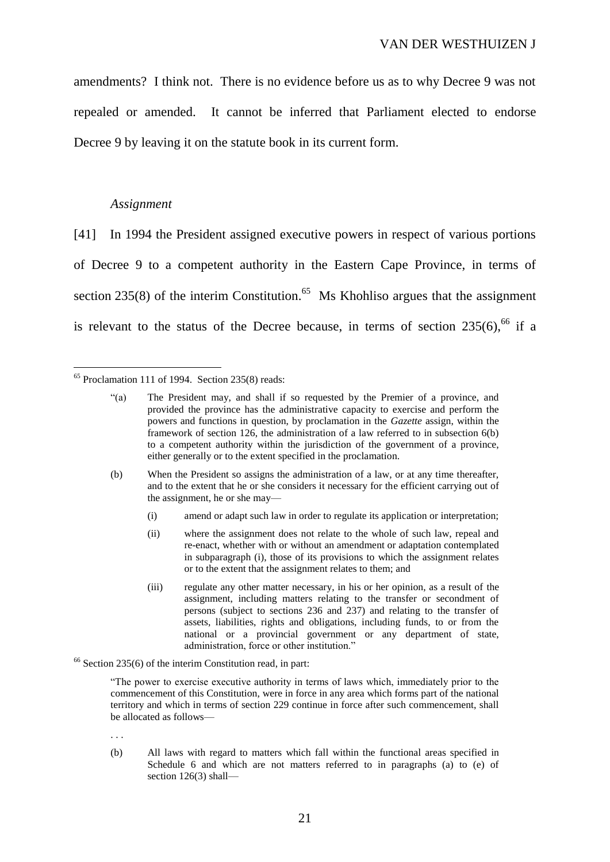amendments? I think not. There is no evidence before us as to why Decree 9 was not repealed or amended. It cannot be inferred that Parliament elected to endorse Decree 9 by leaving it on the statute book in its current form.

#### *Assignment*

 $\overline{a}$ 

[41] In 1994 the President assigned executive powers in respect of various portions of Decree 9 to a competent authority in the Eastern Cape Province, in terms of section 235(8) of the interim Constitution.<sup>65</sup> Ms Khohliso argues that the assignment is relevant to the status of the Decree because, in terms of section  $235(6)$ , <sup>66</sup> if a

- (b) When the President so assigns the administration of a law, or at any time thereafter, and to the extent that he or she considers it necessary for the efficient carrying out of the assignment, he or she may—
	- (i) amend or adapt such law in order to regulate its application or interpretation;
	- (ii) where the assignment does not relate to the whole of such law, repeal and re-enact, whether with or without an amendment or adaptation contemplated in subparagraph (i), those of its provisions to which the assignment relates or to the extent that the assignment relates to them; and
	- (iii) regulate any other matter necessary, in his or her opinion, as a result of the assignment, including matters relating to the transfer or secondment of persons (subject to sections 236 and 237) and relating to the transfer of assets, liabilities, rights and obligations, including funds, to or from the national or a provincial government or any department of state, administration, force or other institution."
- $66$  Section 235(6) of the interim Constitution read, in part:

"The power to exercise executive authority in terms of laws which, immediately prior to the commencement of this Constitution, were in force in any area which forms part of the national territory and which in terms of section 229 continue in force after such commencement, shall be allocated as follows—

. . .

(b) All laws with regard to matters which fall within the functional areas specified in Schedule 6 and which are not matters referred to in paragraphs (a) to (e) of section 126(3) shall—

 $65$  Proclamation 111 of 1994. Section 235(8) reads:

<sup>&</sup>quot;(a) The President may, and shall if so requested by the Premier of a province, and provided the province has the administrative capacity to exercise and perform the powers and functions in question, by proclamation in the *Gazette* assign, within the framework of section 126, the administration of a law referred to in subsection 6(b) to a competent authority within the jurisdiction of the government of a province, either generally or to the extent specified in the proclamation.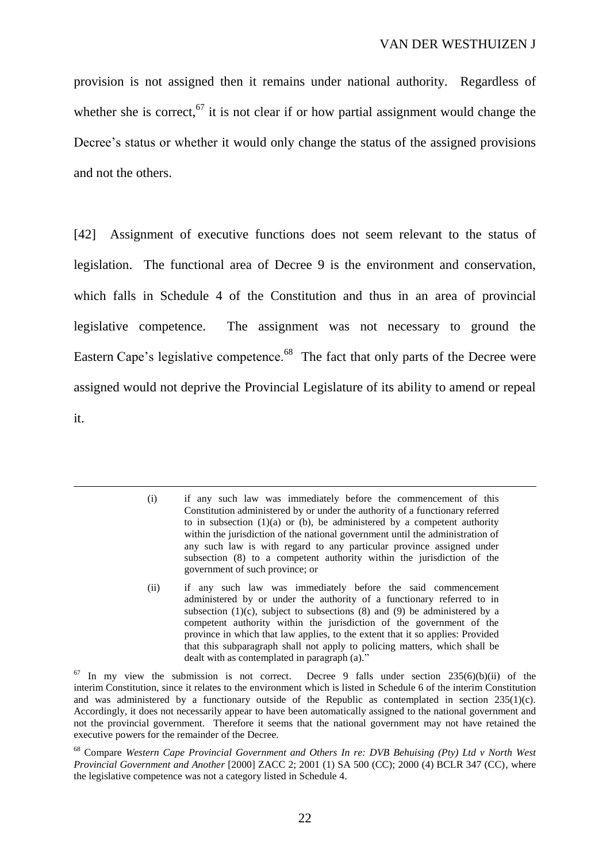provision is not assigned then it remains under national authority. Regardless of whether she is correct,  $67$  it is not clear if or how partial assignment would change the Decree's status or whether it would only change the status of the assigned provisions and not the others.

[42] Assignment of executive functions does not seem relevant to the status of legislation. The functional area of Decree 9 is the environment and conservation, which falls in Schedule 4 of the Constitution and thus in an area of provincial legislative competence. The assignment was not necessary to ground the Eastern Cape's legislative competence.<sup>68</sup> The fact that only parts of the Decree were assigned would not deprive the Provincial Legislature of its ability to amend or repeal it.

<sup>(</sup>i) if any such law was immediately before the commencement of this Constitution administered by or under the authority of a functionary referred to in subsection  $(1)(a)$  or  $(b)$ , be administered by a competent authority within the jurisdiction of the national government until the administration of any such law is with regard to any particular province assigned under subsection (8) to a competent authority within the jurisdiction of the government of such province; or

<sup>(</sup>ii) if any such law was immediately before the said commencement administered by or under the authority of a functionary referred to in subsection  $(1)(c)$ , subject to subsections  $(8)$  and  $(9)$  be administered by a competent authority within the jurisdiction of the government of the province in which that law applies, to the extent that it so applies: Provided that this subparagraph shall not apply to policing matters, which shall be dealt with as contemplated in paragraph (a)."

 $67$  In my view the submission is not correct. Decree 9 falls under section 235(6)(b)(ii) of the interim Constitution, since it relates to the environment which is listed in Schedule 6 of the interim Constitution and was administered by a functionary outside of the Republic as contemplated in section 235(1)(c). Accordingly, it does not necessarily appear to have been automatically assigned to the national government and not the provincial government. Therefore it seems that the national government may not have retained the executive powers for the remainder of the Decree.

<sup>68</sup> Compare *Western Cape Provincial Government and Others In re: DVB Behuising (Pty) Ltd v North West Provincial Government and Another* [2000] ZACC 2; 2001 (1) SA 500 (CC); 2000 (4) BCLR 347 (CC), where the legislative competence was not a category listed in Schedule 4.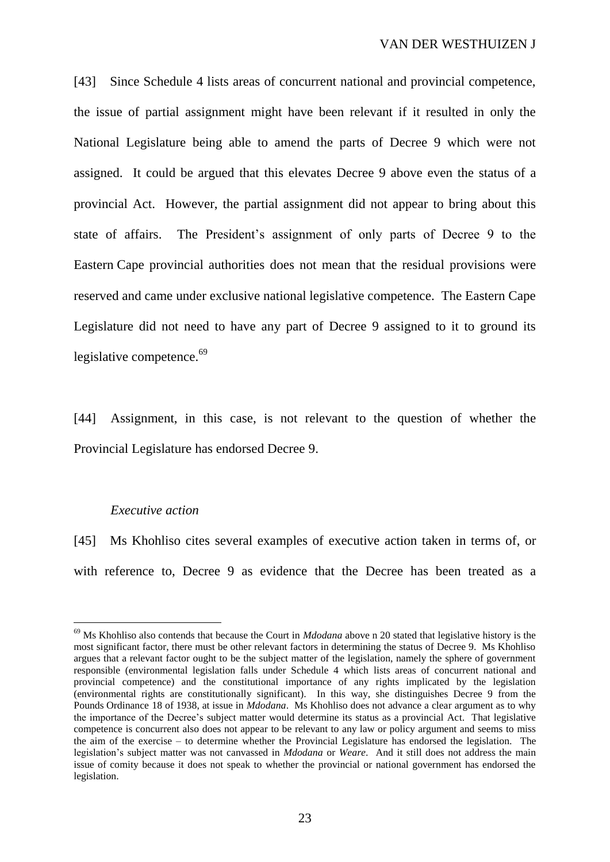[43] Since Schedule 4 lists areas of concurrent national and provincial competence, the issue of partial assignment might have been relevant if it resulted in only the National Legislature being able to amend the parts of Decree 9 which were not assigned. It could be argued that this elevates Decree 9 above even the status of a provincial Act. However, the partial assignment did not appear to bring about this state of affairs. The President's assignment of only parts of Decree 9 to the Eastern Cape provincial authorities does not mean that the residual provisions were reserved and came under exclusive national legislative competence. The Eastern Cape Legislature did not need to have any part of Decree 9 assigned to it to ground its legislative competence.<sup>69</sup>

[44] Assignment, in this case, is not relevant to the question of whether the Provincial Legislature has endorsed Decree 9.

## *Executive action*

 $\overline{a}$ 

[45] Ms Khohliso cites several examples of executive action taken in terms of, or with reference to, Decree 9 as evidence that the Decree has been treated as a

<sup>69</sup> Ms Khohliso also contends that because the Court in *Mdodana* above n 20 stated that legislative history is the most significant factor, there must be other relevant factors in determining the status of Decree 9. Ms Khohliso argues that a relevant factor ought to be the subject matter of the legislation, namely the sphere of government responsible (environmental legislation falls under Schedule 4 which lists areas of concurrent national and provincial competence) and the constitutional importance of any rights implicated by the legislation (environmental rights are constitutionally significant). In this way, she distinguishes Decree 9 from the Pounds Ordinance 18 of 1938, at issue in *Mdodana*. Ms Khohliso does not advance a clear argument as to why the importance of the Decree's subject matter would determine its status as a provincial Act. That legislative competence is concurrent also does not appear to be relevant to any law or policy argument and seems to miss the aim of the exercise – to determine whether the Provincial Legislature has endorsed the legislation. The legislation's subject matter was not canvassed in *Mdodana* or *Weare*. And it still does not address the main issue of comity because it does not speak to whether the provincial or national government has endorsed the legislation.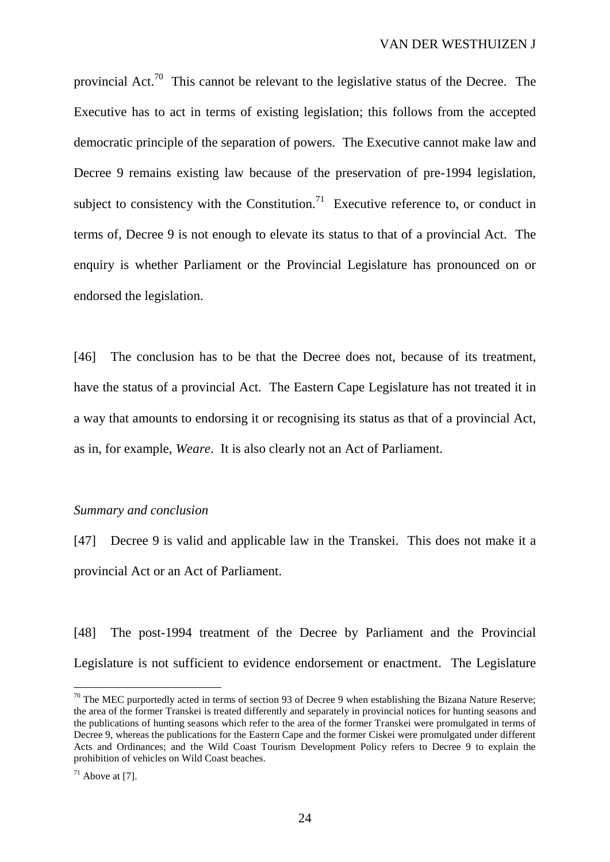provincial Act.<sup>70</sup> This cannot be relevant to the legislative status of the Decree. The Executive has to act in terms of existing legislation; this follows from the accepted democratic principle of the separation of powers. The Executive cannot make law and Decree 9 remains existing law because of the preservation of pre-1994 legislation, subject to consistency with the Constitution.<sup>71</sup> Executive reference to, or conduct in terms of, Decree 9 is not enough to elevate its status to that of a provincial Act. The enquiry is whether Parliament or the Provincial Legislature has pronounced on or endorsed the legislation.

[46] The conclusion has to be that the Decree does not, because of its treatment, have the status of a provincial Act. The Eastern Cape Legislature has not treated it in a way that amounts to endorsing it or recognising its status as that of a provincial Act, as in, for example, *Weare*. It is also clearly not an Act of Parliament.

## *Summary and conclusion*

[47] Decree 9 is valid and applicable law in the Transkei. This does not make it a provincial Act or an Act of Parliament.

[48] The post-1994 treatment of the Decree by Parliament and the Provincial Legislature is not sufficient to evidence endorsement or enactment. The Legislature

 $70$  The MEC purportedly acted in terms of section 93 of Decree 9 when establishing the Bizana Nature Reserve; the area of the former Transkei is treated differently and separately in provincial notices for hunting seasons and the publications of hunting seasons which refer to the area of the former Transkei were promulgated in terms of Decree 9, whereas the publications for the Eastern Cape and the former Ciskei were promulgated under different Acts and Ordinances; and the Wild Coast Tourism Development Policy refers to Decree 9 to explain the prohibition of vehicles on Wild Coast beaches.

 $71$  Above at [7].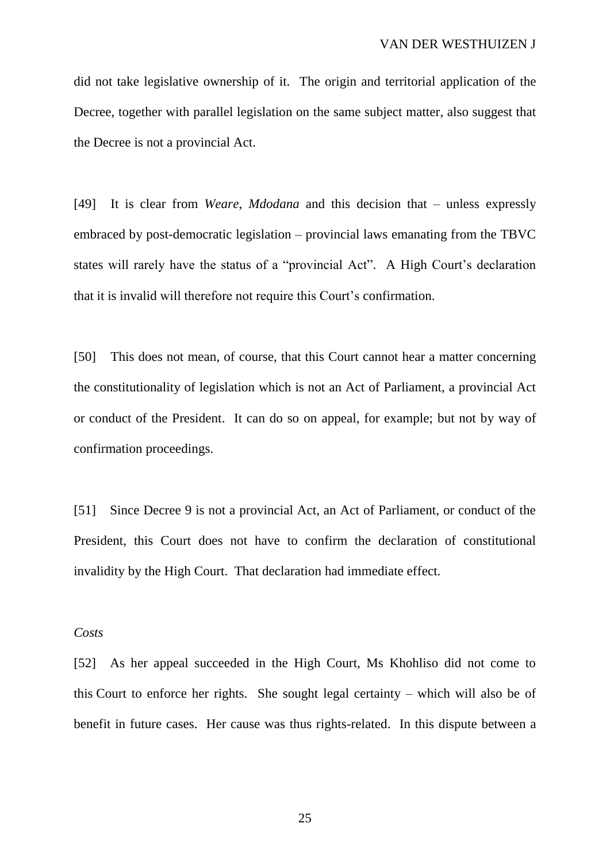did not take legislative ownership of it. The origin and territorial application of the Decree, together with parallel legislation on the same subject matter, also suggest that the Decree is not a provincial Act.

[49] It is clear from *Weare*, *Mdodana* and this decision that – unless expressly embraced by post-democratic legislation – provincial laws emanating from the TBVC states will rarely have the status of a "provincial Act". A High Court's declaration that it is invalid will therefore not require this Court's confirmation.

[50] This does not mean, of course, that this Court cannot hear a matter concerning the constitutionality of legislation which is not an Act of Parliament, a provincial Act or conduct of the President. It can do so on appeal, for example; but not by way of confirmation proceedings.

[51] Since Decree 9 is not a provincial Act, an Act of Parliament, or conduct of the President, this Court does not have to confirm the declaration of constitutional invalidity by the High Court. That declaration had immediate effect.

## *Costs*

[52] As her appeal succeeded in the High Court, Ms Khohliso did not come to this Court to enforce her rights. She sought legal certainty – which will also be of benefit in future cases. Her cause was thus rights-related. In this dispute between a

25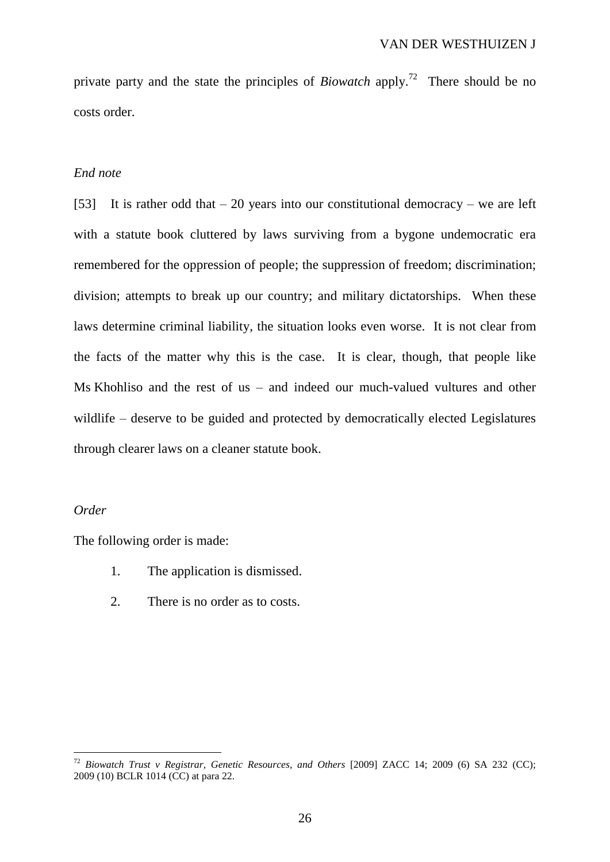private party and the state the principles of *Biowatch* apply. <sup>72</sup> There should be no costs order.

### *End note*

[53] It is rather odd that  $-20$  years into our constitutional democracy – we are left with a statute book cluttered by laws surviving from a bygone undemocratic era remembered for the oppression of people; the suppression of freedom; discrimination; division; attempts to break up our country; and military dictatorships. When these laws determine criminal liability, the situation looks even worse. It is not clear from the facts of the matter why this is the case. It is clear, though, that people like Ms Khohliso and the rest of us – and indeed our much-valued vultures and other wildlife – deserve to be guided and protected by democratically elected Legislatures through clearer laws on a cleaner statute book.

## *Order*

 $\overline{a}$ 

The following order is made:

- 1. The application is dismissed.
- 2. There is no order as to costs.

<sup>72</sup> *Biowatch Trust v Registrar, Genetic Resources, and Others* [2009] ZACC 14; 2009 (6) SA 232 (CC); 2009 (10) BCLR 1014 (CC) at para 22.